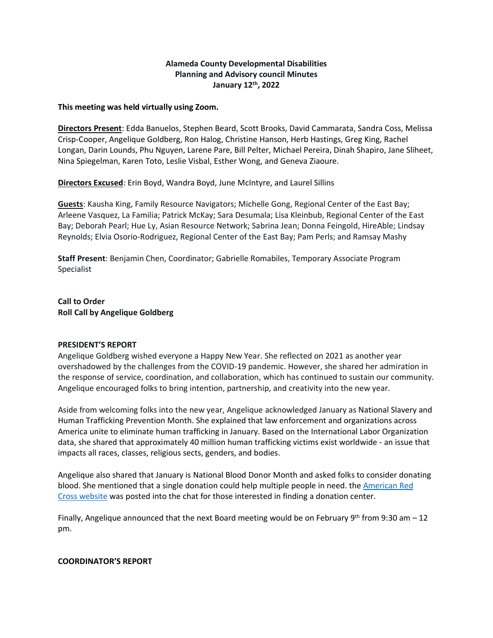# **Alameda County Developmental Disabilities Planning and Advisory council Minutes January 12th, 2022**

### **This meeting was held virtually using Zoom.**

**Directors Present**: Edda Banuelos, Stephen Beard, Scott Brooks, David Cammarata, Sandra Coss, Melissa Crisp-Cooper, Angelique Goldberg, Ron Halog, Christine Hanson, Herb Hastings, Greg King, Rachel Longan, Darin Lounds, Phu Nguyen, Larene Pare, Bill Pelter, Michael Pereira, Dinah Shapiro, Jane Sliheet, Nina Spiegelman, Karen Toto, Leslie Visbal, Esther Wong, and Geneva Ziaoure.

**Directors Excused**: Erin Boyd, Wandra Boyd, June McIntyre, and Laurel Sillins

**Guests**: Kausha King, Family Resource Navigators; Michelle Gong, Regional Center of the East Bay; Arleene Vasquez, La Familia; Patrick McKay; Sara Desumala; Lisa Kleinbub, Regional Center of the East Bay; Deborah Pearl; Hue Ly, Asian Resource Network; Sabrina Jean; Donna Feingold, HireAble; Lindsay Reynolds; Elvia Osorio-Rodriguez, Regional Center of the East Bay; Pam Perls; and Ramsay Mashy

**Staff Present**: Benjamin Chen, Coordinator; Gabrielle Romabiles, Temporary Associate Program Specialist

**Call to Order Roll Call by Angelique Goldberg**

### **PRESIDENT'S REPORT**

Angelique Goldberg wished everyone a Happy New Year. She reflected on 2021 as another year overshadowed by the challenges from the COVID-19 pandemic. However, she shared her admiration in the response of service, coordination, and collaboration, which has continued to sustain our community. Angelique encouraged folks to bring intention, partnership, and creativity into the new year.

Aside from welcoming folks into the new year, Angelique acknowledged January as National Slavery and Human Trafficking Prevention Month. She explained that law enforcement and organizations across America unite to eliminate human trafficking in January. Based on the International Labor Organization data, she shared that approximately 40 million human trafficking victims exist worldwide - an issue that impacts all races, classes, religious sects, genders, and bodies.

Angelique also shared that January is National Blood Donor Month and asked folks to consider donating blood. She mentioned that a single donation could help multiple people in need. the [American](https://www.redcross.org/) Red Cross [website](https://www.redcross.org/) was posted into the chat for those interested in finding a donation center.

Finally, Angelique announced that the next Board meeting would be on February 9<sup>th</sup> from 9:30 am  $-12$ pm.

### **COORDINATOR'S REPORT**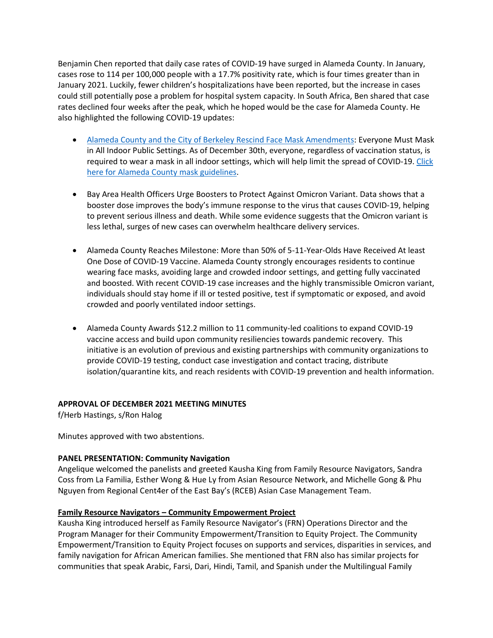Benjamin Chen reported that daily case rates of COVID-19 have surged in Alameda County. In January, cases rose to 114 per 100,000 people with a 17.7% positivity rate, which is four times greater than in January 2021. Luckily, fewer children's hospitalizations have been reported, but the increase in cases could still potentially pose a problem for hospital system capacity. In South Africa, Ben shared that case rates declined four weeks after the peak, which he hoped would be the case for Alameda County. He also highlighted the following COVID-19 updates:

- Alameda County and the City of Berkeley Rescind Face Mask [Amendments:](https://covid-19.acgov.org/covid19-assets/docs/press/press-release-2021.12.29.pdf) Everyone Must Mask in All Indoor Public Settings. As of December 30th, everyone, regardless of vaccination status, is required to wear a mask in all indoor settings, which will help limit the spread of COVID-19. [Click](https://covid-19.acgov.org/face-masks.page) here for Alameda County mask [guidelines.](https://covid-19.acgov.org/face-masks.page)
- Bay Area Health Officers Urge Boosters to Protect Against Omicron Variant. Data shows that a booster dose improves the body's immune response to the virus that causes COVID-19, helping to prevent serious illness and death. While some evidence suggests that the Omicron variant is less lethal, surges of new cases can overwhelm healthcare delivery services.
- Alameda County Reaches Milestone: More than 50% of 5-11-Year-Olds Have Received At least One Dose of COVID-19 Vaccine. Alameda County strongly encourages residents to continue wearing face masks, avoiding large and crowded indoor settings, and getting fully vaccinated and boosted. With recent COVID-19 case increases and the highly transmissible Omicron variant, individuals should stay home if ill or tested positive, test if symptomatic or exposed, and avoid crowded and poorly ventilated indoor settings.
- Alameda County Awards \$12.2 million to 11 community-led coalitions to expand COVID-19 vaccine access and build upon community resiliencies towards pandemic recovery.  This initiative is an evolution of previous and existing partnerships with community organizations to provide COVID-19 testing, conduct case investigation and contact tracing, distribute isolation/quarantine kits, and reach residents with COVID-19 prevention and health information.

## **APPROVAL OF DECEMBER 2021 MEETING MINUTES**

f/Herb Hastings, s/Ron Halog

Minutes approved with two abstentions.

## **PANEL PRESENTATION: Community Navigation**

Angelique welcomed the panelists and greeted Kausha King from Family Resource Navigators, Sandra Coss from La Familia, Esther Wong & Hue Ly from Asian Resource Network, and Michelle Gong & Phu Nguyen from Regional Cent4er of the East Bay's (RCEB) Asian Case Management Team.

## **Family Resource Navigators – Community Empowerment Project**

Kausha King introduced herself as Family Resource Navigator's (FRN) Operations Director and the Program Manager for their Community Empowerment/Transition to Equity Project. The Community Empowerment/Transition to Equity Project focuses on supports and services, disparities in services, and family navigation for African American families. She mentioned that FRN also has similar projects for communities that speak Arabic, Farsi, Dari, Hindi, Tamil, and Spanish under the Multilingual Family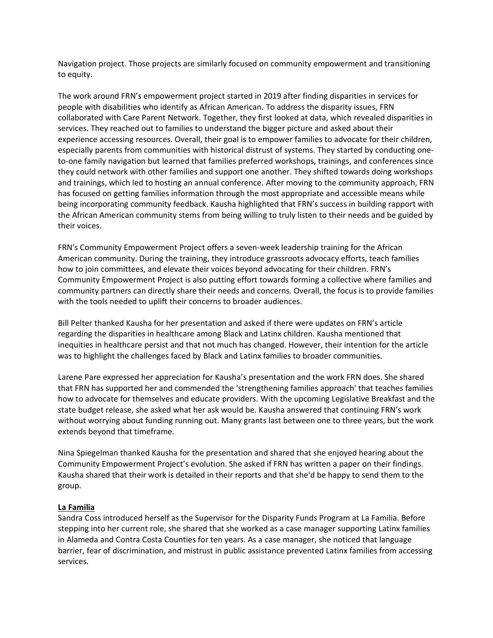Navigation project. Those projects are similarly focused on community empowerment and transitioning to equity.

The work around FRN's empowerment project started in 2019 after finding disparities in services for people with disabilities who identify as African American. To address the disparity issues, FRN collaborated with Care Parent Network. Together, they first looked at data, which revealed disparities in services. They reached out to families to understand the bigger picture and asked about their experience accessing resources. Overall, their goal is to empower families to advocate for their children, especially parents from communities with historical distrust of systems. They started by conducting oneto-one family navigation but learned that families preferred workshops, trainings, and conferences since they could network with other families and support one another. They shifted towards doing workshops and trainings, which led to hosting an annual conference. After moving to the community approach, FRN has focused on getting families information through the most appropriate and accessible means while being incorporating community feedback. Kausha highlighted that FRN's success in building rapport with the African American community stems from being willing to truly listen to their needs and be guided by their voices.

FRN's Community Empowerment Project offers a seven-week leadership training for the African American community. During the training, they introduce grassroots advocacy efforts, teach families how to join committees, and elevate their voices beyond advocating for their children. FRN's Community Empowerment Project is also putting effort towards forming a collective where families and community partners can directly share their needs and concerns. Overall, the focus is to provide families with the tools needed to uplift their concerns to broader audiences.

Bill Pelter thanked Kausha for her presentation and asked if there were updates on FRN's article regarding the disparities in healthcare among Black and Latinx children. Kausha mentioned that inequities in healthcare persist and that not much has changed. However, their intention for the article was to highlight the challenges faced by Black and Latinx families to broader communities.

Larene Pare expressed her appreciation for Kausha's presentation and the work FRN does. She shared that FRN has supported her and commended the 'strengthening families approach' that teaches families how to advocate for themselves and educate providers. With the upcoming Legislative Breakfast and the state budget release, she asked what her ask would be. Kausha answered that continuing FRN's work without worrying about funding running out. Many grants last between one to three years, but the work extends beyond that timeframe.

Nina Spiegelman thanked Kausha for the presentation and shared that she enjoyed hearing about the Community Empowerment Project's evolution. She asked if FRN has written a paper on their findings. Kausha shared that their work is detailed in their reports and that she'd be happy to send them to the group.

### **La Familia**

Sandra Coss introduced herself as the Supervisor for the Disparity Funds Program at La Familia. Before stepping into her current role, she shared that she worked as a case manager supporting Latinx families in Alameda and Contra Costa Counties for ten years. As a case manager, she noticed that language barrier, fear of discrimination, and mistrust in public assistance prevented Latinx families from accessing services.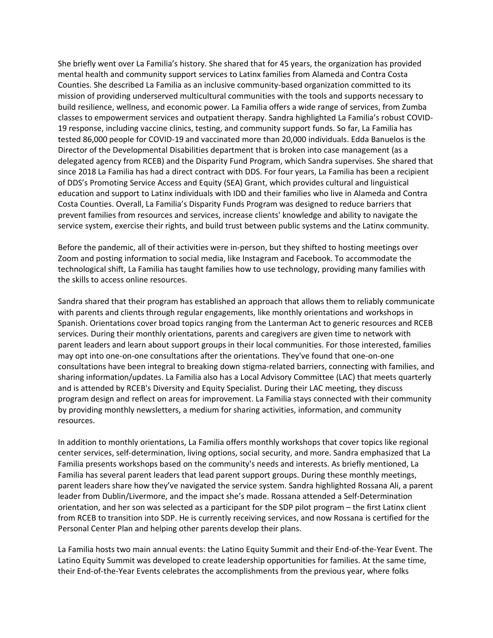She briefly went over La Familia's history. She shared that for 45 years, the organization has provided mental health and community support services to Latinx families from Alameda and Contra Costa Counties. She described La Familia as an inclusive community-based organization committed to its mission of providing underserved multicultural communities with the tools and supports necessary to build resilience, wellness, and economic power. La Familia offers a wide range of services, from Zumba classes to empowerment services and outpatient therapy. Sandra highlighted La Familia's robust COVID-19 response, including vaccine clinics, testing, and community support funds. So far, La Familia has tested 86,000 people for COVID-19 and vaccinated more than 20,000 individuals. Edda Banuelos is the Director of the Developmental Disabilities department that is broken into case management (as a delegated agency from RCEB) and the Disparity Fund Program, which Sandra supervises. She shared that since 2018 La Familia has had a direct contract with DDS. For four years, La Familia has been a recipient of DDS's Promoting Service Access and Equity (SEA) Grant, which provides cultural and linguistical education and support to Latinx individuals with IDD and their families who live in Alameda and Contra Costa Counties. Overall, La Familia's Disparity Funds Program was designed to reduce barriers that prevent families from resources and services, increase clients' knowledge and ability to navigate the service system, exercise their rights, and build trust between public systems and the Latinx community.

Before the pandemic, all of their activities were in-person, but they shifted to hosting meetings over Zoom and posting information to social media, like Instagram and Facebook. To accommodate the technological shift, La Familia has taught families how to use technology, providing many families with the skills to access online resources.

Sandra shared that their program has established an approach that allows them to reliably communicate with parents and clients through regular engagements, like monthly orientations and workshops in Spanish. Orientations cover broad topics ranging from the Lanterman Act to generic resources and RCEB services. During their monthly orientations, parents and caregivers are given time to network with parent leaders and learn about support groups in their local communities. For those interested, families may opt into one-on-one consultations after the orientations. They've found that one-on-one consultations have been integral to breaking down stigma-related barriers, connecting with families, and sharing information/updates. La Familia also has a Local Advisory Committee (LAC) that meets quarterly and is attended by RCEB's Diversity and Equity Specialist. During their LAC meeting, they discuss program design and reflect on areas for improvement. La Familia stays connected with their community by providing monthly newsletters, a medium for sharing activities, information, and community resources.

In addition to monthly orientations, La Familia offers monthly workshops that cover topics like regional center services, self-determination, living options, social security, and more. Sandra emphasized that La Familia presents workshops based on the community's needs and interests. As briefly mentioned, La Familia has several parent leaders that lead parent support groups. During these monthly meetings, parent leaders share how they've navigated the service system. Sandra highlighted Rossana Ali, a parent leader from Dublin/Livermore, and the impact she's made. Rossana attended a Self-Determination orientation, and her son was selected as a participant for the SDP pilot program – the first Latinx client from RCEB to transition into SDP. He is currently receiving services, and now Rossana is certified for the Personal Center Plan and helping other parents develop their plans.

La Familia hosts two main annual events: the Latino Equity Summit and their End-of-the-Year Event. The Latino Equity Summit was developed to create leadership opportunities for families. At the same time, their End-of-the-Year Events celebrates the accomplishments from the previous year, where folks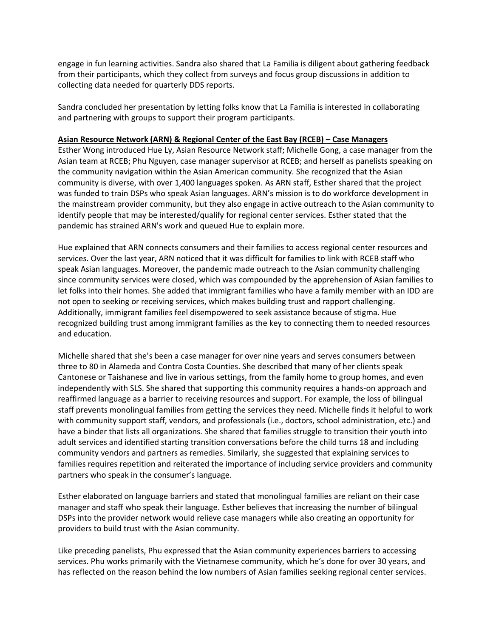engage in fun learning activities. Sandra also shared that La Familia is diligent about gathering feedback from their participants, which they collect from surveys and focus group discussions in addition to collecting data needed for quarterly DDS reports.

Sandra concluded her presentation by letting folks know that La Familia is interested in collaborating and partnering with groups to support their program participants.

## **Asian Resource Network (ARN) & Regional Center of the East Bay (RCEB) – Case Managers**

Esther Wong introduced Hue Ly, Asian Resource Network staff; Michelle Gong, a case manager from the Asian team at RCEB; Phu Nguyen, case manager supervisor at RCEB; and herself as panelists speaking on the community navigation within the Asian American community. She recognized that the Asian community is diverse, with over 1,400 languages spoken. As ARN staff, Esther shared that the project was funded to train DSPs who speak Asian languages. ARN's mission is to do workforce development in the mainstream provider community, but they also engage in active outreach to the Asian community to identify people that may be interested/qualify for regional center services. Esther stated that the pandemic has strained ARN's work and queued Hue to explain more.

Hue explained that ARN connects consumers and their families to access regional center resources and services. Over the last year, ARN noticed that it was difficult for families to link with RCEB staff who speak Asian languages. Moreover, the pandemic made outreach to the Asian community challenging since community services were closed, which was compounded by the apprehension of Asian families to let folks into their homes. She added that immigrant families who have a family member with an IDD are not open to seeking or receiving services, which makes building trust and rapport challenging. Additionally, immigrant families feel disempowered to seek assistance because of stigma. Hue recognized building trust among immigrant families as the key to connecting them to needed resources and education.

Michelle shared that she's been a case manager for over nine years and serves consumers between three to 80 in Alameda and Contra Costa Counties. She described that many of her clients speak Cantonese or Taishanese and live in various settings, from the family home to group homes, and even independently with SLS. She shared that supporting this community requires a hands-on approach and reaffirmed language as a barrier to receiving resources and support. For example, the loss of bilingual staff prevents monolingual families from getting the services they need. Michelle finds it helpful to work with community support staff, vendors, and professionals (i.e., doctors, school administration, etc.) and have a binder that lists all organizations. She shared that families struggle to transition their youth into adult services and identified starting transition conversations before the child turns 18 and including community vendors and partners as remedies. Similarly, she suggested that explaining services to families requires repetition and reiterated the importance of including service providers and community partners who speak in the consumer's language.

Esther elaborated on language barriers and stated that monolingual families are reliant on their case manager and staff who speak their language. Esther believes that increasing the number of bilingual DSPs into the provider network would relieve case managers while also creating an opportunity for providers to build trust with the Asian community.

Like preceding panelists, Phu expressed that the Asian community experiences barriers to accessing services. Phu works primarily with the Vietnamese community, which he's done for over 30 years, and has reflected on the reason behind the low numbers of Asian families seeking regional center services.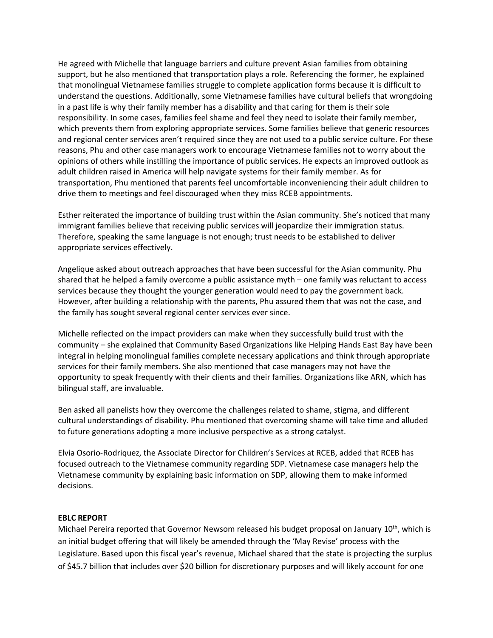He agreed with Michelle that language barriers and culture prevent Asian families from obtaining support, but he also mentioned that transportation plays a role. Referencing the former, he explained that monolingual Vietnamese families struggle to complete application forms because it is difficult to understand the questions. Additionally, some Vietnamese families have cultural beliefs that wrongdoing in a past life is why their family member has a disability and that caring for them is their sole responsibility. In some cases, families feel shame and feel they need to isolate their family member, which prevents them from exploring appropriate services. Some families believe that generic resources and regional center services aren't required since they are not used to a public service culture. For these reasons, Phu and other case managers work to encourage Vietnamese families not to worry about the opinions of others while instilling the importance of public services. He expects an improved outlook as adult children raised in America will help navigate systems for their family member. As for transportation, Phu mentioned that parents feel uncomfortable inconveniencing their adult children to drive them to meetings and feel discouraged when they miss RCEB appointments.

Esther reiterated the importance of building trust within the Asian community. She's noticed that many immigrant families believe that receiving public services will jeopardize their immigration status. Therefore, speaking the same language is not enough; trust needs to be established to deliver appropriate services effectively.

Angelique asked about outreach approaches that have been successful for the Asian community. Phu shared that he helped a family overcome a public assistance myth – one family was reluctant to access services because they thought the younger generation would need to pay the government back. However, after building a relationship with the parents, Phu assured them that was not the case, and the family has sought several regional center services ever since.

Michelle reflected on the impact providers can make when they successfully build trust with the community – she explained that Community Based Organizations like Helping Hands East Bay have been integral in helping monolingual families complete necessary applications and think through appropriate services for their family members. She also mentioned that case managers may not have the opportunity to speak frequently with their clients and their families. Organizations like ARN, which has bilingual staff, are invaluable.

Ben asked all panelists how they overcome the challenges related to shame, stigma, and different cultural understandings of disability. Phu mentioned that overcoming shame will take time and alluded to future generations adopting a more inclusive perspective as a strong catalyst.

Elvia Osorio-Rodriquez, the Associate Director for Children's Services at RCEB, added that RCEB has focused outreach to the Vietnamese community regarding SDP. Vietnamese case managers help the Vietnamese community by explaining basic information on SDP, allowing them to make informed decisions.

## **EBLC REPORT**

Michael Pereira reported that Governor Newsom released his budget proposal on January 10<sup>th</sup>, which is an initial budget offering that will likely be amended through the 'May Revise' process with the Legislature. Based upon this fiscal year's revenue, Michael shared that the state is projecting the surplus of \$45.7 billion that includes over \$20 billion for discretionary purposes and will likely account for one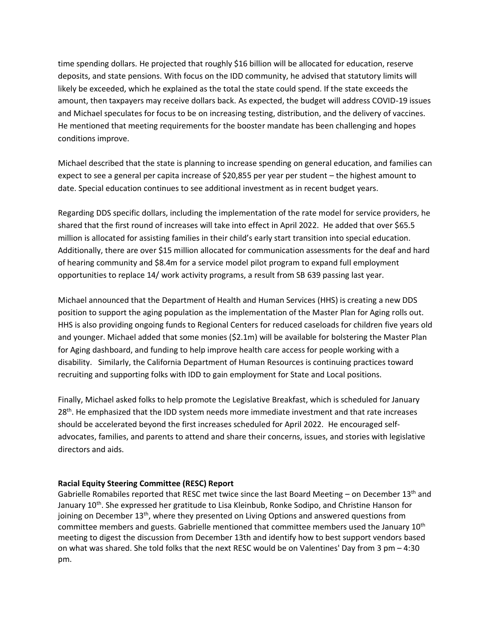time spending dollars. He projected that roughly \$16 billion will be allocated for education, reserve deposits, and state pensions. With focus on the IDD community, he advised that statutory limits will likely be exceeded, which he explained as the total the state could spend. If the state exceeds the amount, then taxpayers may receive dollars back. As expected, the budget will address COVID-19 issues and Michael speculates for focus to be on increasing testing, distribution, and the delivery of vaccines. He mentioned that meeting requirements for the booster mandate has been challenging and hopes conditions improve.

Michael described that the state is planning to increase spending on general education, and families can expect to see a general per capita increase of \$20,855 per year per student – the highest amount to date. Special education continues to see additional investment as in recent budget years.

Regarding DDS specific dollars, including the implementation of the rate model for service providers, he shared that the first round of increases will take into effect in April 2022. He added that over \$65.5 million is allocated for assisting families in their child's early start transition into special education. Additionally, there are over \$15 million allocated for communication assessments for the deaf and hard of hearing community and \$8.4m for a service model pilot program to expand full employment opportunities to replace 14/ work activity programs, a result from SB 639 passing last year.

Michael announced that the Department of Health and Human Services (HHS) is creating a new DDS position to support the aging population as the implementation of the Master Plan for Aging rolls out. HHS is also providing ongoing funds to Regional Centers for reduced caseloads for children five years old and younger. Michael added that some monies (\$2.1m) will be available for bolstering the Master Plan for Aging dashboard, and funding to help improve health care access for people working with a disability. Similarly, the California Department of Human Resources is continuing practices toward recruiting and supporting folks with IDD to gain employment for State and Local positions.

Finally, Michael asked folks to help promote the Legislative Breakfast, which is scheduled for January 28<sup>th</sup>. He emphasized that the IDD system needs more immediate investment and that rate increases should be accelerated beyond the first increases scheduled for April 2022. He encouraged selfadvocates, families, and parents to attend and share their concerns, issues, and stories with legislative directors and aids.

## **Racial Equity Steering Committee (RESC) Report**

Gabrielle Romabiles reported that RESC met twice since the last Board Meeting – on December 13<sup>th</sup> and January 10<sup>th</sup>. She expressed her gratitude to Lisa Kleinbub, Ronke Sodipo, and Christine Hanson for joining on December 13<sup>th</sup>, where they presented on Living Options and answered questions from committee members and guests. Gabrielle mentioned that committee members used the January 10<sup>th</sup> meeting to digest the discussion from December 13th and identify how to best support vendors based on what was shared. She told folks that the next RESC would be on Valentines' Day from 3 pm – 4:30 pm.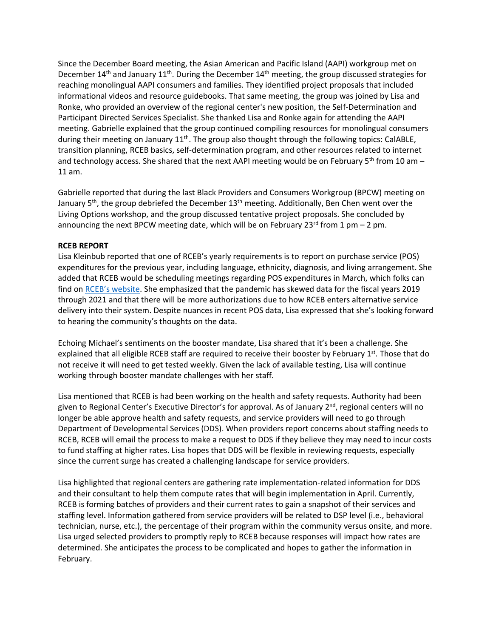Since the December Board meeting, the Asian American and Pacific Island (AAPI) workgroup met on December 14<sup>th</sup> and January 11<sup>th</sup>. During the December 14<sup>th</sup> meeting, the group discussed strategies for reaching monolingual AAPI consumers and families. They identified project proposals that included informational videos and resource guidebooks. That same meeting, the group was joined by Lisa and Ronke, who provided an overview of the regional center's new position, the Self-Determination and Participant Directed Services Specialist. She thanked Lisa and Ronke again for attending the AAPI meeting. Gabrielle explained that the group continued compiling resources for monolingual consumers during their meeting on January  $11<sup>th</sup>$ . The group also thought through the following topics: CalABLE, transition planning, RCEB basics, self-determination program, and other resources related to internet and technology access. She shared that the next AAPI meeting would be on February 5<sup>th</sup> from 10 am – 11 am.

Gabrielle reported that during the last Black Providers and Consumers Workgroup (BPCW) meeting on January 5<sup>th</sup>, the group debriefed the December 13<sup>th</sup> meeting. Additionally, Ben Chen went over the Living Options workshop, and the group discussed tentative project proposals. She concluded by announcing the next BPCW meeting date, which will be on February 23<sup>rd</sup> from 1 pm - 2 pm.

## **RCEB REPORT**

Lisa Kleinbub reported that one of RCEB's yearly requirements is to report on purchase service (POS) expenditures for the previous year, including language, ethnicity, diagnosis, and living arrangement. She added that RCEB would be scheduling meetings regarding POS expenditures in March, which folks can find on [RCEB's website](https://www.rceb.org/events/). She emphasized that the pandemic has skewed data for the fiscal years 2019 through 2021 and that there will be more authorizations due to how RCEB enters alternative service delivery into their system. Despite nuances in recent POS data, Lisa expressed that she's looking forward to hearing the community's thoughts on the data.

Echoing Michael's sentiments on the booster mandate, Lisa shared that it's been a challenge. She explained that all eligible RCEB staff are required to receive their booster by February 1st. Those that do not receive it will need to get tested weekly. Given the lack of available testing, Lisa will continue working through booster mandate challenges with her staff.

Lisa mentioned that RCEB is had been working on the health and safety requests. Authority had been given to Regional Center's Executive Director's for approval. As of January 2<sup>nd</sup>, regional centers will no longer be able approve health and safety requests, and service providers will need to go through Department of Developmental Services (DDS). When providers report concerns about staffing needs to RCEB, RCEB will email the process to make a request to DDS if they believe they may need to incur costs to fund staffing at higher rates. Lisa hopes that DDS will be flexible in reviewing requests, especially since the current surge has created a challenging landscape for service providers.

Lisa highlighted that regional centers are gathering rate implementation-related information for DDS and their consultant to help them compute rates that will begin implementation in April. Currently, RCEB is forming batches of providers and their current rates to gain a snapshot of their services and staffing level. Information gathered from service providers will be related to DSP level (i.e., behavioral technician, nurse, etc.), the percentage of their program within the community versus onsite, and more. Lisa urged selected providers to promptly reply to RCEB because responses will impact how rates are determined. She anticipates the process to be complicated and hopes to gather the information in February.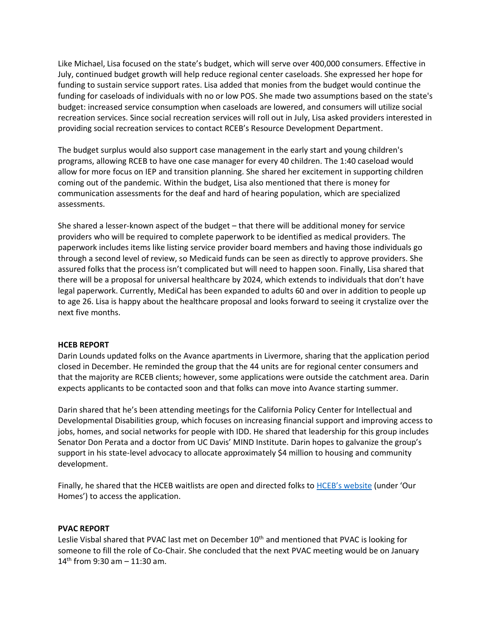Like Michael, Lisa focused on the state's budget, which will serve over 400,000 consumers. Effective in July, continued budget growth will help reduce regional center caseloads. She expressed her hope for funding to sustain service support rates. Lisa added that monies from the budget would continue the funding for caseloads of individuals with no or low POS. She made two assumptions based on the state's budget: increased service consumption when caseloads are lowered, and consumers will utilize social recreation services. Since social recreation services will roll out in July, Lisa asked providers interested in providing social recreation services to contact RCEB's Resource Development Department.

The budget surplus would also support case management in the early start and young children's programs, allowing RCEB to have one case manager for every 40 children. The 1:40 caseload would allow for more focus on IEP and transition planning. She shared her excitement in supporting children coming out of the pandemic. Within the budget, Lisa also mentioned that there is money for communication assessments for the deaf and hard of hearing population, which are specialized assessments.

She shared a lesser-known aspect of the budget – that there will be additional money for service providers who will be required to complete paperwork to be identified as medical providers. The paperwork includes items like listing service provider board members and having those individuals go through a second level of review, so Medicaid funds can be seen as directly to approve providers. She assured folks that the process isn't complicated but will need to happen soon. Finally, Lisa shared that there will be a proposal for universal healthcare by 2024, which extends to individuals that don't have legal paperwork. Currently, MediCal has been expanded to adults 60 and over in addition to people up to age 26. Lisa is happy about the healthcare proposal and looks forward to seeing it crystalize over the next five months.

### **HCEB REPORT**

Darin Lounds updated folks on the Avance apartments in Livermore, sharing that the application period closed in December. He reminded the group that the 44 units are for regional center consumers and that the majority are RCEB clients; however, some applications were outside the catchment area. Darin expects applicants to be contacted soon and that folks can move into Avance starting summer.

Darin shared that he's been attending meetings for the California Policy Center for Intellectual and Developmental Disabilities group, which focuses on increasing financial support and improving access to jobs, homes, and social networks for people with IDD. He shared that leadership for this group includes Senator Don Perata and a doctor from UC Davis' MIND Institute. Darin hopes to galvanize the group's support in his state-level advocacy to allocate approximately \$4 million to housing and community development.

Finally, he shared that the HCEB waitlists are open and directed folks to [HCEB's website](http://www.hceb.org/) (under 'Our Homes') to access the application.

### **PVAC REPORT**

Leslie Visbal shared that PVAC last met on December 10<sup>th</sup> and mentioned that PVAC is looking for someone to fill the role of Co-Chair. She concluded that the next PVAC meeting would be on January 14<sup>th</sup> from 9:30 am  $-$  11:30 am.